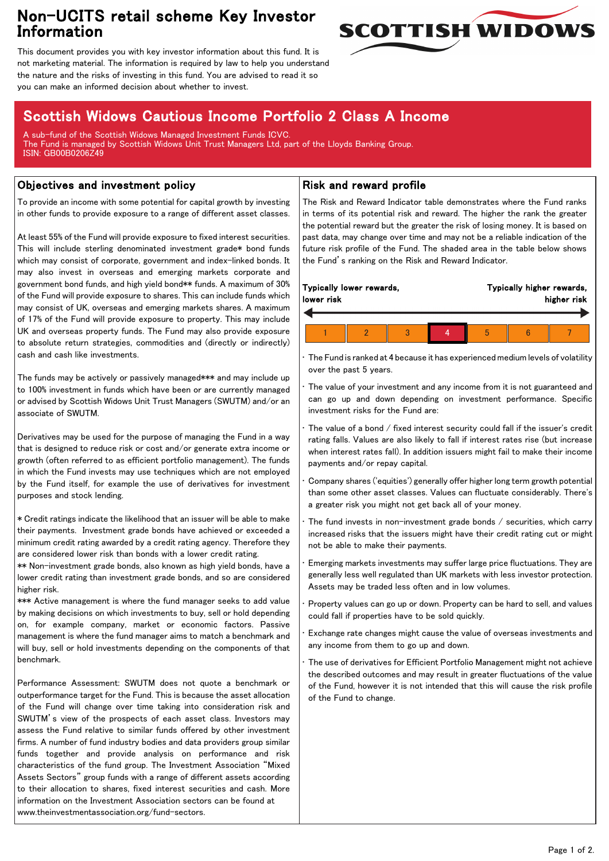## Non-UCITS retail scheme Key Investor Information



This document provides you with key investor information about this fund. It is not marketing material. The information is required by law to help you understand the nature and the risks of investing in this fund. You are advised to read it so you can make an informed decision about whether to invest.

# Scottish Widows Cautious Income Portfolio 2 Class A Income

A sub-fund of the Scottish Widows Managed Investment Funds ICVC. The Fund is managed by Scottish Widows Unit Trust Managers Ltd, part of the Lloyds Banking Group. ISIN: GB00B0206Z49

#### Objectives and investment policy

To provide an income with some potential for capital growth by investing in other funds to provide exposure to a range of different asset classes.

At least 55% of the Fund will provide exposure to fixed interest securities. This will include sterling denominated investment grade\* bond funds which may consist of corporate, government and index-linked bonds. It may also invest in overseas and emerging markets corporate and government bond funds, and high yield bond\*\* funds. A maximum of 30% of the Fund will provide exposure to shares. This can include funds which may consist of UK, overseas and emerging markets shares. A maximum of 17% of the Fund will provide exposure to property. This may include UK and overseas property funds. The Fund may also provide exposure to absolute return strategies, commodities and (directly or indirectly) cash and cash like investments.

The funds may be actively or passively managed\*\*\* and may include up to 100% investment in funds which have been or are currently managed or advised by Scottish Widows Unit Trust Managers (SWUTM) and/or an associate of SWUTM.

Derivatives may be used for the purpose of managing the Fund in a way that is designed to reduce risk or cost and/or generate extra income or growth (often referred to as efficient portfolio management). The funds in which the Fund invests may use techniques which are not employed by the Fund itself, for example the use of derivatives for investment purposes and stock lending.

\* Credit ratings indicate the likelihood that an issuer will be able to make their payments. Investment grade bonds have achieved or exceeded a minimum credit rating awarded by a credit rating agency. Therefore they are considered lower risk than bonds with a lower credit rating.

\*\* Non-investment grade bonds, also known as high yield bonds, have a lower credit rating than investment grade bonds, and so are considered higher risk.

\*\*\* Active management is where the fund manager seeks to add value by making decisions on which investments to buy, sell or hold depending on, for example company, market or economic factors. Passive management is where the fund manager aims to match a benchmark and will buy, sell or hold investments depending on the components of that benchmark.

Performance Assessment: SWUTM does not quote a benchmark or outperformance target for the Fund. This is because the asset allocation of the Fund will change over time taking into consideration risk and SWUTM's view of the prospects of each asset class. Investors may assess the Fund relative to similar funds offered by other investment firms. A number of fund industry bodies and data providers group similar funds together and provide analysis on performance and risk characteristics of the fund group. The Investment Association "Mixed Assets Sectors" group funds with a range of different assets according to their allocation to shares, fixed interest securities and cash. More information on the Investment Association sectors can be found at www.theinvestmentassociation.org/fund-sectors.

#### Risk and reward profile

The Risk and Reward Indicator table demonstrates where the Fund ranks in terms of its potential risk and reward. The higher the rank the greater the potential reward but the greater the risk of losing money. It is based on past data, may change over time and may not be a reliable indication of the future risk profile of the Fund. The shaded area in the table below shows the Fund's ranking on the Risk and Reward Indicator.

| Typically lower rewards,<br>lower risk |  |  |  | Typically higher rewards,<br>higher risk |  |  |  |
|----------------------------------------|--|--|--|------------------------------------------|--|--|--|
|                                        |  |  |  |                                          |  |  |  |
|                                        |  |  |  |                                          |  |  |  |

• The Fund is ranked at 4 because it has experienced medium levels of volatility over the past 5 years.

The value of your investment and any income from it is not guaranteed and can go up and down depending on investment performance. Specific investment risks for the Fund are:

• The value of a bond / fixed interest security could fall if the issuer's credit rating falls. Values are also likely to fall if interest rates rise (but increase when interest rates fall). In addition issuers might fail to make their income payments and/or repay capital.

• Company shares ('equities') generally offer higher long term growth potential than some other asset classes. Values can fluctuate considerably. There's a greater risk you might not get back all of your money.

The fund invests in non-investment grade bonds  $/$  securities, which carry increased risks that the issuers might have their credit rating cut or might not be able to make their payments.

• Emerging markets investments may suffer large price fluctuations. They are generally less well regulated than UK markets with less investor protection. Assets may be traded less often and in low volumes.

• Property values can go up or down. Property can be hard to sell, and values could fall if properties have to be sold quickly.

• Exchange rate changes might cause the value of overseas investments and any income from them to go up and down.

The use of derivatives for Efficient Portfolio Management might not achieve the described outcomes and may result in greater fluctuations of the value of the Fund, however it is not intended that this will cause the risk profile of the Fund to change.